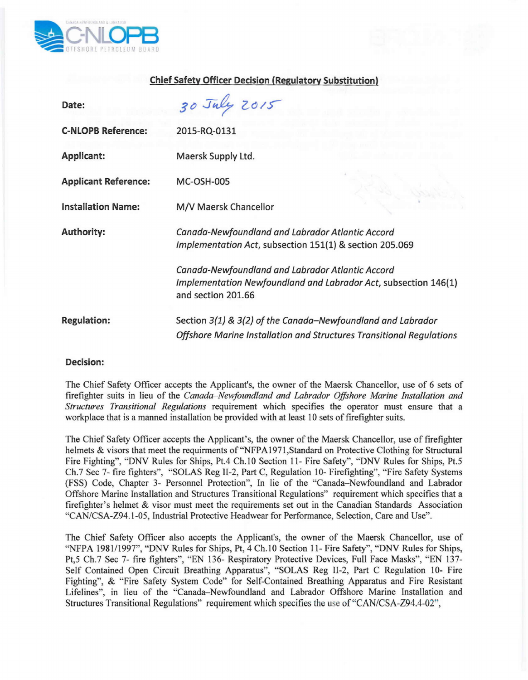

## Chief Safety Officer Decision (Regulatory Substitution)

| Date:                       | 30 July 2015                                                                                                                              |
|-----------------------------|-------------------------------------------------------------------------------------------------------------------------------------------|
| <b>C-NLOPB Reference:</b>   | 2015-RQ-0131                                                                                                                              |
| Applicant:                  | Maersk Supply Ltd.                                                                                                                        |
| <b>Applicant Reference:</b> | <b>MC-OSH-005</b>                                                                                                                         |
| <b>Installation Name:</b>   | M/V Maersk Chancellor                                                                                                                     |
| <b>Authority:</b>           | Canada-Newfoundland and Labrador Atlantic Accord<br>Implementation Act, subsection 151(1) & section 205.069                               |
|                             | Canada-Newfoundland and Labrador Atlantic Accord<br>Implementation Newfoundland and Labrador Act, subsection 146(1)<br>and section 201.66 |
| <b>Regulation:</b>          | Section 3(1) & 3(2) of the Canada-Newfoundland and Labrador<br>Offshore Marine Installation and Structures Transitional Regulations       |

## Decision:

The Chief Safety Officer accepts the Applicant's, the owner of the Maersk Chancellor, use of 6 sets of firefighter suits in lieu of the *Canada-Newfoundland and Labrador Offshore Marine Installation and Structures Transitional Regulations* requirement which specifies the operator must ensure that a workplace that is a manned installation be provided with at least 10 sets of firefighter suits.

The Chief Safety Officer accepts the Applicant's, the owner of the Maersk Chancellor, use of firefighter helmets & visors that meet the requirments of "NFPA 1971,Standard on Protective Clothing for Structural Fire Fighting", "DNV Rules for Ships, Pt.4 Ch.IO Section 11- Fire Safety", "DNY Rules for Ships, Pt.5 Ch.7 Sec 7- fire fighters", "SOLAS Reg II-2, Part C, Regulation 10- Firefighting", "Fire Safety Systems (FSS) Code, Chapter 3- Personnel Protection", In lie of the "Canada-Newfoundland and Labrador Offshore Marine Installation and Structures Transitional Regulations" requirement which specifies that a firefighter's helmet & visor must meet the requirements set out in the Canadian Standards Association *"CAN/CSA-Z94.1-05,* Industrial Protective Headwear for Performance, Selection, Care and Use".

The Chief Safety Officer also accepts the Applicant's, the owner of the Maersk Chancellor, use of "NFPA 1981/1997", "DNV Rules for Ships, Pt, 4 Ch.10 Section 11- Fire Safety", "DNV Rules for Ships, Pt,5 Ch.7 See 7- fire fighters", "EN 136- Respiratory Protective Devices, Full Face Masks", "EN 137- Self Contained Open Circuit Breathing Apparatus", "SOLAS Reg 11-2, Part C Regulation 10- Fire Fighting", & "Fire Safety System Code" for Self-Contained Breathing Apparatus and Fire Resistant Lifelines", in lieu of the "Canada-Newfoundland and Labrador Offshore Marine Installation and Structures Transitional Regulations" requirement which specifies the use *of"CAN/CSA-Z94.4-02",*